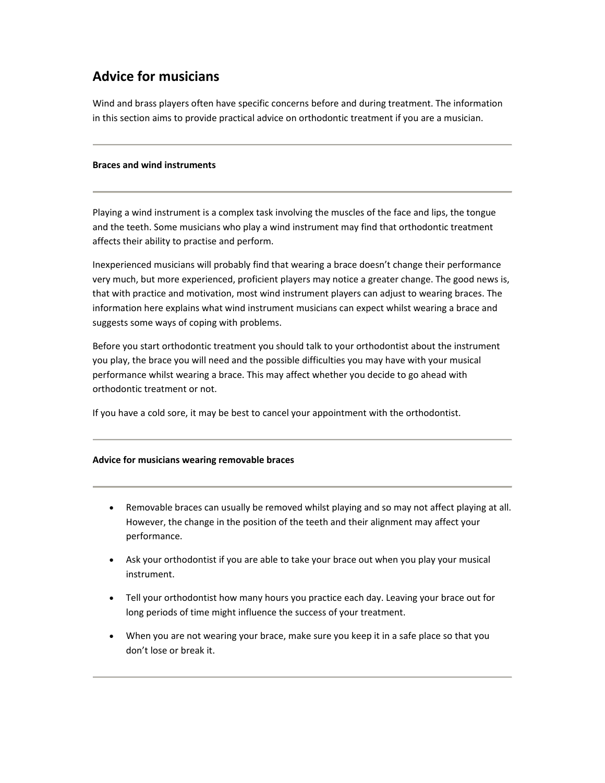## **Advice for musicians**

Wind and brass players often have specific concerns before and during treatment. The information in this section aims to provide practical advice on orthodontic treatment if you are a musician.

## **Braces and wind instruments**

Playing a wind instrument is a complex task involving the muscles of the face and lips, the tongue and the teeth. Some musicians who play a wind instrument may find that orthodontic treatment affects their ability to practise and perform.

Inexperienced musicians will probably find that wearing a brace doesn't change their performance very much, but more experienced, proficient players may notice a greater change. The good news is, that with practice and motivation, most wind instrument players can adjust to wearing braces. The information here explains what wind instrument musicians can expect whilst wearing a brace and suggests some ways of coping with problems.

Before you start orthodontic treatment you should talk to your orthodontist about the instrument you play, the brace you will need and the possible difficulties you may have with your musical performance whilst wearing a brace. This may affect whether you decide to go ahead with orthodontic treatment or not.

If you have a cold sore, it may be best to cancel your appointment with the orthodontist.

## **Advice for musicians wearing removable braces**

- Removable braces can usually be removed whilst playing and so may not affect playing at all. However, the change in the position of the teeth and their alignment may affect your performance.
- Ask your orthodontist if you are able to take your brace out when you play your musical instrument.
- Tell your orthodontist how many hours you practice each day. Leaving your brace out for long periods of time might influence the success of your treatment.
- When you are not wearing your brace, make sure you keep it in a safe place so that you don't lose or break it.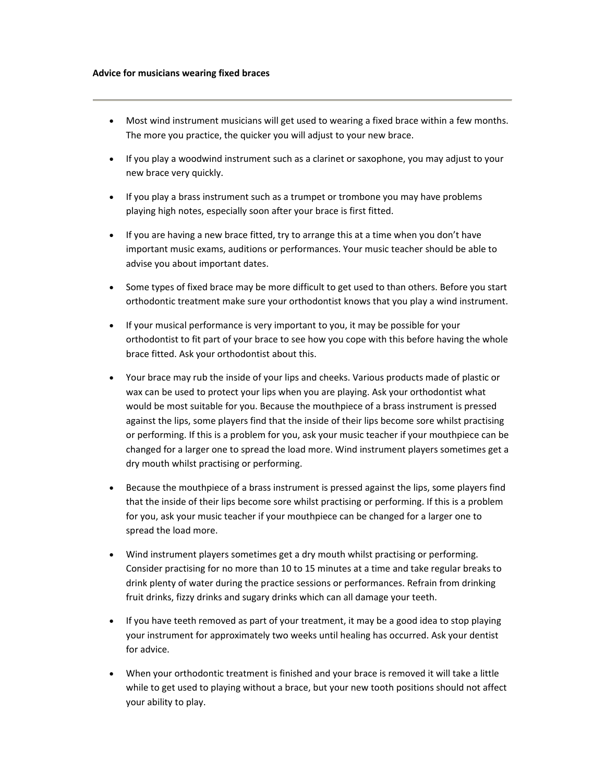- Most wind instrument musicians will get used to wearing a fixed brace within a few months. The more you practice, the quicker you will adjust to your new brace.
- If you play a woodwind instrument such as a clarinet or saxophone, you may adjust to your new brace very quickly.
- If you play a brass instrument such as a trumpet or trombone you may have problems playing high notes, especially soon after your brace is first fitted.
- If you are having a new brace fitted, try to arrange this at a time when you don't have important music exams, auditions or performances. Your music teacher should be able to advise you about important dates.
- Some types of fixed brace may be more difficult to get used to than others. Before you start orthodontic treatment make sure your orthodontist knows that you play a wind instrument.
- If your musical performance is very important to you, it may be possible for your orthodontist to fit part of your brace to see how you cope with this before having the whole brace fitted. Ask your orthodontist about this.
- Your brace may rub the inside of your lips and cheeks. Various products made of plastic or wax can be used to protect your lips when you are playing. Ask your orthodontist what would be most suitable for you. Because the mouthpiece of a brass instrument is pressed against the lips, some players find that the inside of their lips become sore whilst practising or performing. If this is a problem for you, ask your music teacher if your mouthpiece can be changed for a larger one to spread the load more. Wind instrument players sometimes get a dry mouth whilst practising or performing.
- Because the mouthpiece of a brass instrument is pressed against the lips, some players find that the inside of their lips become sore whilst practising or performing. If this is a problem for you, ask your music teacher if your mouthpiece can be changed for a larger one to spread the load more.
- Wind instrument players sometimes get a dry mouth whilst practising or performing. Consider practising for no more than 10 to 15 minutes at a time and take regular breaks to drink plenty of water during the practice sessions or performances. Refrain from drinking fruit drinks, fizzy drinks and sugary drinks which can all damage your teeth.
- If you have teeth removed as part of your treatment, it may be a good idea to stop playing your instrument for approximately two weeks until healing has occurred. Ask your dentist for advice.
- When your orthodontic treatment is finished and your brace is removed it will take a little while to get used to playing without a brace, but your new tooth positions should not affect your ability to play.